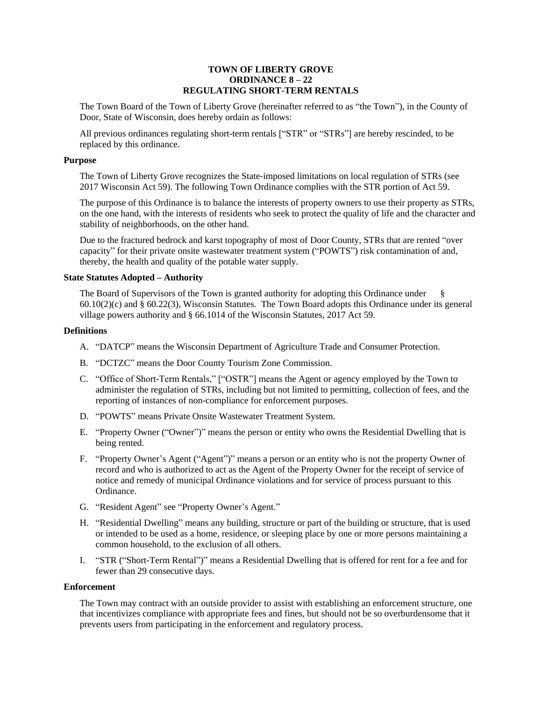# **TOWN OF LIBERTY GROVE ORDINANCE 8 – 22 REGULATING SHORT-TERM RENTALS**

The Town Board of the Town of Liberty Grove (hereinafter referred to as "the Town"), in the County of Door, State of Wisconsin, does hereby ordain as follows:

All previous ordinances regulating short-term rentals ["STR" or "STRs"] are hereby rescinded, to be replaced by this ordinance.

## **Purpose**

The Town of Liberty Grove recognizes the State-imposed limitations on local regulation of STRs (see 2017 Wisconsin Act 59). The following Town Ordinance complies with the STR portion of Act 59.

The purpose of this Ordinance is to balance the interests of property owners to use their property as STRs, on the one hand, with the interests of residents who seek to protect the quality of life and the character and stability of neighborhoods, on the other hand.

Due to the fractured bedrock and karst topography of most of Door County, STRs that are rented "over capacity" for their private onsite wastewater treatment system ("POWTS") risk contamination of and, thereby, the health and quality of the potable water supply.

## **State Statutes Adopted – Authority**

The Board of Supervisors of the Town is granted authority for adopting this Ordinance under 60.10(2)(c) and § 60.22(3), Wisconsin Statutes. The Town Board adopts this Ordinance under its general village powers authority and § 66.1014 of the Wisconsin Statutes, 2017 Act 59.

### **Definitions**

- A. "DATCP" means the Wisconsin Department of Agriculture Trade and Consumer Protection.
- B. "DCTZC" means the Door County Tourism Zone Commission.
- C. "Office of Short-Term Rentals," ["OSTR"] means the Agent or agency employed by the Town to administer the regulation of STRs, including but not limited to permitting, collection of fees, and the reporting of instances of non-compliance for enforcement purposes.
- D. "POWTS" means Private Onsite Wastewater Treatment System.
- E. "Property Owner ("Owner")" means the person or entity who owns the Residential Dwelling that is being rented.
- F. "Property Owner's Agent ("Agent")" means a person or an entity who is not the property Owner of record and who is authorized to act as the Agent of the Property Owner for the receipt of service of notice and remedy of municipal Ordinance violations and for service of process pursuant to this Ordinance.
- G. "Resident Agent" see "Property Owner's Agent."
- H. "Residential Dwelling" means any building, structure or part of the building or structure, that is used or intended to be used as a home, residence, or sleeping place by one or more persons maintaining a common household, to the exclusion of all others.
- I. "STR ("Short-Term Rental")" means a Residential Dwelling that is offered for rent for a fee and for fewer than 29 consecutive days.

## **Enforcement**

The Town may contract with an outside provider to assist with establishing an enforcement structure, one that incentivizes compliance with appropriate fees and fines, but should not be so overburdensome that it prevents users from participating in the enforcement and regulatory process.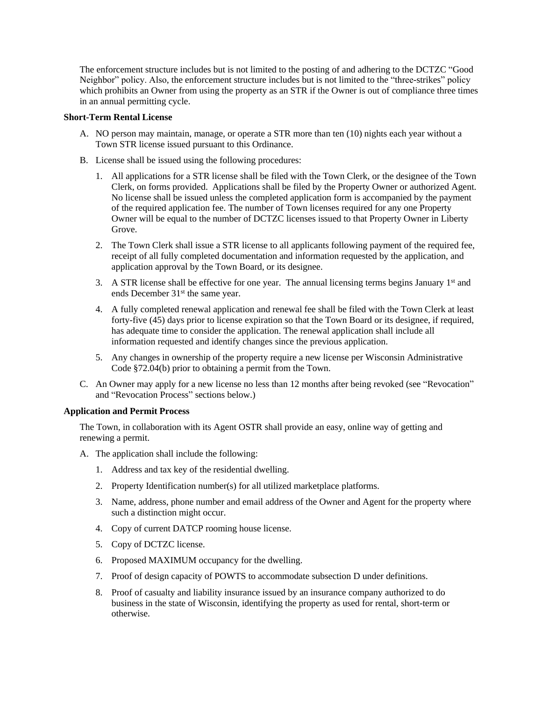The enforcement structure includes but is not limited to the posting of and adhering to the DCTZC "Good Neighbor" policy. Also, the enforcement structure includes but is not limited to the "three-strikes" policy which prohibits an Owner from using the property as an STR if the Owner is out of compliance three times in an annual permitting cycle.

# **Short-Term Rental License**

- A. NO person may maintain, manage, or operate a STR more than ten (10) nights each year without a Town STR license issued pursuant to this Ordinance.
- B. License shall be issued using the following procedures:
	- 1. All applications for a STR license shall be filed with the Town Clerk, or the designee of the Town Clerk, on forms provided. Applications shall be filed by the Property Owner or authorized Agent. No license shall be issued unless the completed application form is accompanied by the payment of the required application fee. The number of Town licenses required for any one Property Owner will be equal to the number of DCTZC licenses issued to that Property Owner in Liberty Grove.
	- 2. The Town Clerk shall issue a STR license to all applicants following payment of the required fee, receipt of all fully completed documentation and information requested by the application, and application approval by the Town Board, or its designee.
	- 3. A STR license shall be effective for one year. The annual licensing terms begins January 1<sup>st</sup> and ends December 31<sup>st</sup> the same year.
	- 4. A fully completed renewal application and renewal fee shall be filed with the Town Clerk at least forty-five (45) days prior to license expiration so that the Town Board or its designee, if required, has adequate time to consider the application. The renewal application shall include all information requested and identify changes since the previous application.
	- 5. Any changes in ownership of the property require a new license per Wisconsin Administrative Code §72.04(b) prior to obtaining a permit from the Town.
- C. An Owner may apply for a new license no less than 12 months after being revoked (see "Revocation" and "Revocation Process" sections below.)

# **Application and Permit Process**

The Town, in collaboration with its Agent OSTR shall provide an easy, online way of getting and renewing a permit.

- A. The application shall include the following:
	- 1. Address and tax key of the residential dwelling.
	- 2. Property Identification number(s) for all utilized marketplace platforms.
	- 3. Name, address, phone number and email address of the Owner and Agent for the property where such a distinction might occur.
	- 4. Copy of current DATCP rooming house license.
	- 5. Copy of DCTZC license.
	- 6. Proposed MAXIMUM occupancy for the dwelling.
	- 7. Proof of design capacity of POWTS to accommodate subsection D under definitions.
	- 8. Proof of casualty and liability insurance issued by an insurance company authorized to do business in the state of Wisconsin, identifying the property as used for rental, short-term or otherwise.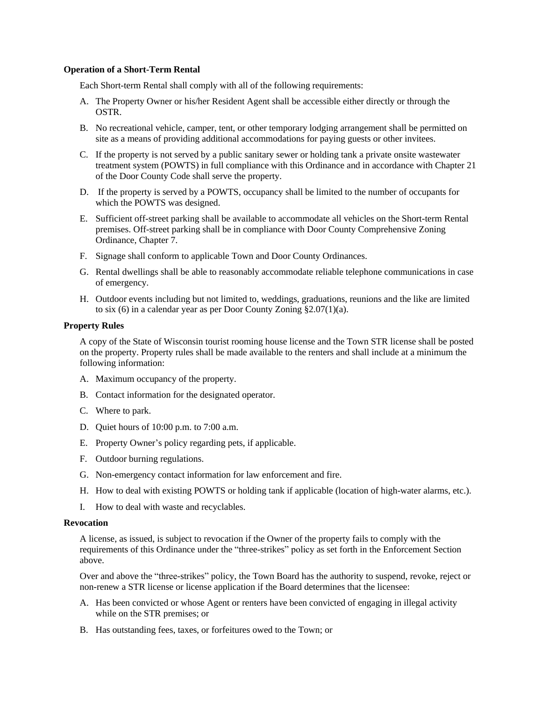#### **Operation of a Short-Term Rental**

Each Short-term Rental shall comply with all of the following requirements:

- A. The Property Owner or his/her Resident Agent shall be accessible either directly or through the OSTR.
- B. No recreational vehicle, camper, tent, or other temporary lodging arrangement shall be permitted on site as a means of providing additional accommodations for paying guests or other invitees.
- C. If the property is not served by a public sanitary sewer or holding tank a private onsite wastewater treatment system (POWTS) in full compliance with this Ordinance and in accordance with Chapter 21 of the Door County Code shall serve the property.
- D. If the property is served by a POWTS, occupancy shall be limited to the number of occupants for which the POWTS was designed.
- E. Sufficient off-street parking shall be available to accommodate all vehicles on the Short-term Rental premises. Off-street parking shall be in compliance with Door County Comprehensive Zoning Ordinance, Chapter 7.
- F. Signage shall conform to applicable Town and Door County Ordinances.
- G. Rental dwellings shall be able to reasonably accommodate reliable telephone communications in case of emergency.
- H. Outdoor events including but not limited to, weddings, graduations, reunions and the like are limited to six (6) in a calendar year as per Door County Zoning §2.07(1)(a).

# **Property Rules**

A copy of the State of Wisconsin tourist rooming house license and the Town STR license shall be posted on the property. Property rules shall be made available to the renters and shall include at a minimum the following information:

- A. Maximum occupancy of the property.
- B. Contact information for the designated operator.
- C. Where to park.
- D. Quiet hours of 10:00 p.m. to 7:00 a.m.
- E. Property Owner's policy regarding pets, if applicable.
- F. Outdoor burning regulations.
- G. Non-emergency contact information for law enforcement and fire.
- H. How to deal with existing POWTS or holding tank if applicable (location of high-water alarms, etc.).
- I. How to deal with waste and recyclables.

#### **Revocation**

A license, as issued, is subject to revocation if the Owner of the property fails to comply with the requirements of this Ordinance under the "three-strikes" policy as set forth in the Enforcement Section above.

Over and above the "three-strikes" policy, the Town Board has the authority to suspend, revoke, reject or non-renew a STR license or license application if the Board determines that the licensee:

- A. Has been convicted or whose Agent or renters have been convicted of engaging in illegal activity while on the STR premises; or
- B. Has outstanding fees, taxes, or forfeitures owed to the Town; or